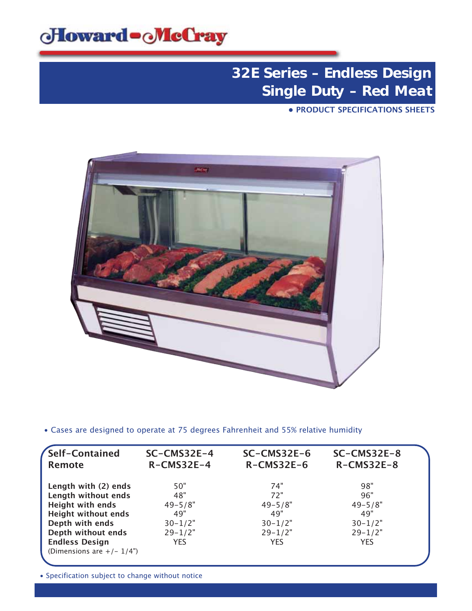

**• PRODUCT SPECIFICATIONS SHEETS**



• Cases are designed to operate at 75 degrees Fahrenheit and 55% relative humidity

| Self-Contained<br><b>Remote</b> | $SC-CMS32E-4$<br>$R$ -CMS32E-4 | $SC-CMS32E-6$<br>$R$ -CMS32E-6 | $SC-CMS32E-8$<br>$R$ -CMS32E-8 |  |
|---------------------------------|--------------------------------|--------------------------------|--------------------------------|--|
| Length with (2) ends            | 50"                            | 74"                            | 98"                            |  |
| Length without ends             | 48"                            | 72"                            | 96"                            |  |
| <b>Height with ends</b>         | $49 - 5/8"$                    | $49 - 5/8"$                    | $49 - 5/8"$                    |  |
| <b>Height without ends</b>      | 49"                            | 49"                            | 49"                            |  |
| Depth with ends                 | $30 - 1/2"$                    | $30 - 1/2"$                    | $30 - 1/2"$                    |  |
| Depth without ends              | $29 - 1/2"$                    | $29 - 1/2"$                    | $29 - 1/2"$                    |  |
| <b>Endless Design</b>           | <b>YES</b>                     | <b>YES</b>                     | <b>YES</b>                     |  |
| (Dimensions are $+/- 1/4$ ")    |                                |                                |                                |  |
|                                 |                                |                                |                                |  |

• Specification subject to change without notice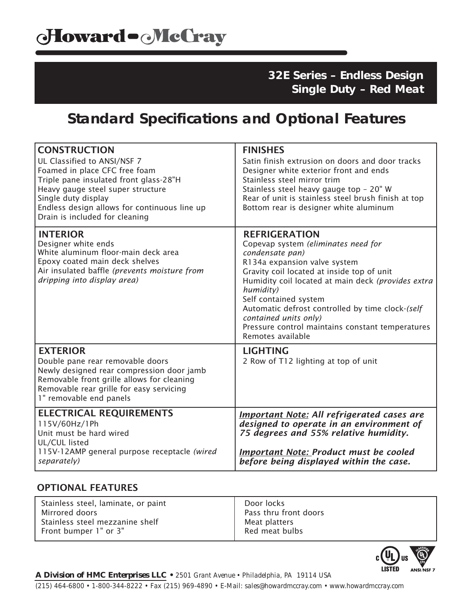## **Standard Specifications and Optional Features**

| <b>CONSTRUCTION</b><br>UL Classified to ANSI/NSF 7<br>Foamed in place CFC free foam<br>Triple pane insulated front glass-28"H<br>Heavy gauge steel super structure<br>Single duty display<br>Endless design allows for continuous line up<br>Drain is included for cleaning | <b>FINISHES</b><br>Satin finish extrusion on doors and door tracks<br>Designer white exterior front and ends<br>Stainless steel mirror trim<br>Stainless steel heavy gauge top - 20" W<br>Rear of unit is stainless steel brush finish at top<br>Bottom rear is designer white aluminum                                                                                                                        |
|-----------------------------------------------------------------------------------------------------------------------------------------------------------------------------------------------------------------------------------------------------------------------------|----------------------------------------------------------------------------------------------------------------------------------------------------------------------------------------------------------------------------------------------------------------------------------------------------------------------------------------------------------------------------------------------------------------|
| <b>INTERIOR</b><br>Designer white ends<br>White aluminum floor-main deck area<br>Epoxy coated main deck shelves<br>Air insulated baffle (prevents moisture from<br>dripping into display area)                                                                              | <b>REFRIGERATION</b><br>Copevap system (eliminates need for<br>condensate pan)<br>R134a expansion valve system<br>Gravity coil located at inside top of unit<br>Humidity coil located at main deck (provides extra<br>humidity)<br>Self contained system<br>Automatic defrost controlled by time clock-(self<br>contained units only)<br>Pressure control maintains constant temperatures<br>Remotes available |
| <b>EXTERIOR</b><br>Double pane rear removable doors<br>Newly designed rear compression door jamb<br>Removable front grille allows for cleaning<br>Removable rear grille for easy servicing<br>1" removable end panels                                                       | <b>LIGHTING</b><br>2 Row of T12 lighting at top of unit                                                                                                                                                                                                                                                                                                                                                        |
| <b>ELECTRICAL REQUIREMENTS</b><br>115V/60Hz/1Ph<br>Unit must be hard wired<br>UL/CUL listed<br>115V-12AMP general purpose receptacle (wired<br>separately)                                                                                                                  | <b>Important Note: All refrigerated cases are</b><br>designed to operate in an environment of<br>75 degrees and 55% relative humidity.<br><b>Important Note: Product must be cooled</b><br>before being displayed within the case.                                                                                                                                                                             |

### OPTIONAL FEATURES

| Stainless steel, laminate, or paint | Door locks            |
|-------------------------------------|-----------------------|
| Mirrored doors                      | Pass thru front doors |
| Stainless steel mezzanine shelf     | Meat platters         |
| Front bumper 1" or 3"               | Red meat bulbs        |



*A Division of HMC Enterprises LLC • 2501 Grant Avenue • Philadelphia, PA 19114 USA*

*(215) 464-6800 • 1-800-344-8222 • Fax (215) 969-4890 • E-Mail: sales@howardmccray.com • www.howardmccray.com*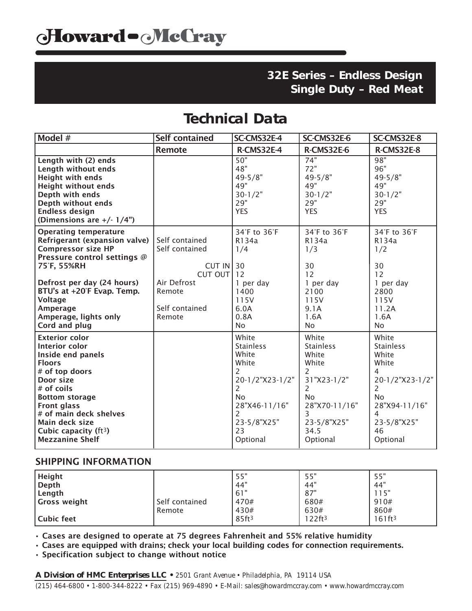### **Technical Data**

| Model #                                                                                                                                                                                                                                                                     | <b>Self contained</b>                                                   | SC-CMS32E-4                                                                                                                                                                        | SC-CMS32E-6                                                                                                                                             | SC-CMS32E-8                                                                                                                                                            |
|-----------------------------------------------------------------------------------------------------------------------------------------------------------------------------------------------------------------------------------------------------------------------------|-------------------------------------------------------------------------|------------------------------------------------------------------------------------------------------------------------------------------------------------------------------------|---------------------------------------------------------------------------------------------------------------------------------------------------------|------------------------------------------------------------------------------------------------------------------------------------------------------------------------|
|                                                                                                                                                                                                                                                                             | <b>Remote</b>                                                           | <b>R-CMS32E-4</b>                                                                                                                                                                  | <b>R-CMS32E-6</b>                                                                                                                                       | <b>R-CMS32E-8</b>                                                                                                                                                      |
| Length with (2) ends<br>Length without ends<br><b>Height with ends</b><br><b>Height without ends</b><br>Depth with ends<br>Depth without ends<br><b>Endless design</b><br>(Dimensions are $+/- 1/4$ ")                                                                      |                                                                         | 50"<br>48"<br>$49 - 5/8"$<br>49"<br>$30 - 1/2"$<br>29"<br><b>YES</b>                                                                                                               | 74"<br>72"<br>$49 - 5/8"$<br>49"<br>$30 - 1/2"$<br>29"<br><b>YES</b>                                                                                    | 98"<br>96"<br>$49 - 5/8"$<br>49"<br>$30 - 1/2"$<br>29"<br><b>YES</b>                                                                                                   |
| <b>Operating temperature</b><br>Refrigerant (expansion valve)<br><b>Compressor size HP</b><br>Pressure control settings @<br>75°F, 55%RH<br>Defrost per day (24 hours)                                                                                                      | Self contained<br>Self contained<br>CUT IN<br>CUT OUT 12<br>Air Defrost | 34°F to 36°F<br>R134a<br>1/4<br>30<br>1 per day                                                                                                                                    | 34°F to 36°F<br>R134a<br>1/3<br>30<br>12<br>1 per day                                                                                                   | 34°F to 36°F<br>R134a<br>1/2<br>30<br>12<br>1 per day                                                                                                                  |
| BTU's at +20°F Evap. Temp.<br><b>Voltage</b><br>Amperage<br>Amperage, lights only<br>Cord and plug                                                                                                                                                                          | Remote<br>Self contained<br>Remote                                      | 1400<br>115V<br>6.0A<br>0.8A<br>No                                                                                                                                                 | 2100<br>115V<br>9.1A<br>1.6A<br>No.                                                                                                                     | 2800<br>115V<br>11.2A<br>1.6A<br><b>No</b>                                                                                                                             |
| <b>Exterior color</b><br>Interior color<br>Inside end panels<br><b>Floors</b><br># of top doors<br>Door size<br># of coils<br><b>Bottom storage</b><br><b>Front glass</b><br># of main deck shelves<br>Main deck size<br>Cubic capacity ( $ft3$ )<br><b>Mezzanine Shelf</b> |                                                                         | White<br><b>Stainless</b><br>White<br>White<br>$\mathcal{P}$<br>20-1/2"X23-1/2"<br>$\overline{2}$<br><b>No</b><br>28"X46-11/16"<br>$\overline{2}$<br>23-5/8"X25"<br>23<br>Optional | White<br><b>Stainless</b><br>White<br>White<br>2<br>31"X23-1/2"<br>$\overline{2}$<br><b>No</b><br>28"X70-11/16"<br>3<br>23-5/8"X25"<br>34.5<br>Optional | White<br><b>Stainless</b><br>White<br>White<br>4<br>20-1/2"X23-1/2"<br>$\overline{2}$<br><b>No</b><br>28"X94-11/16"<br>$\overline{4}$<br>23-5/8"X25"<br>46<br>Optional |

#### SHIPPING INFORMATION

| <b>Height</b><br>Depth        |                          | . 55"<br>.44"       | 55"<br>44"            | 55"<br>.44"         |
|-------------------------------|--------------------------|---------------------|-----------------------|---------------------|
| Length<br><b>Gross weight</b> | Self contained<br>Remote | 61"<br>470#<br>430# | 87"<br>680#<br>630#   | 15"<br>910#<br>860# |
| Cubic feet                    |                          | 85ft <sup>3</sup>   | $122$ ft <sup>3</sup> | 161ft <sup>3</sup>  |

• Cases are designed to operate at 75 degrees Fahrenheit and 55% relative humidity

• Cases are equipped with drains; check your local building codes for connection requirements.

• Specification subject to change without notice

*A Division of HMC Enterprises LLC • 2501 Grant Avenue • Philadelphia, PA 19114 USA (215) 464-6800 • 1-800-344-8222 • Fax (215) 969-4890 • E-Mail: sales@howardmccray.com • www.howardmccray.com*